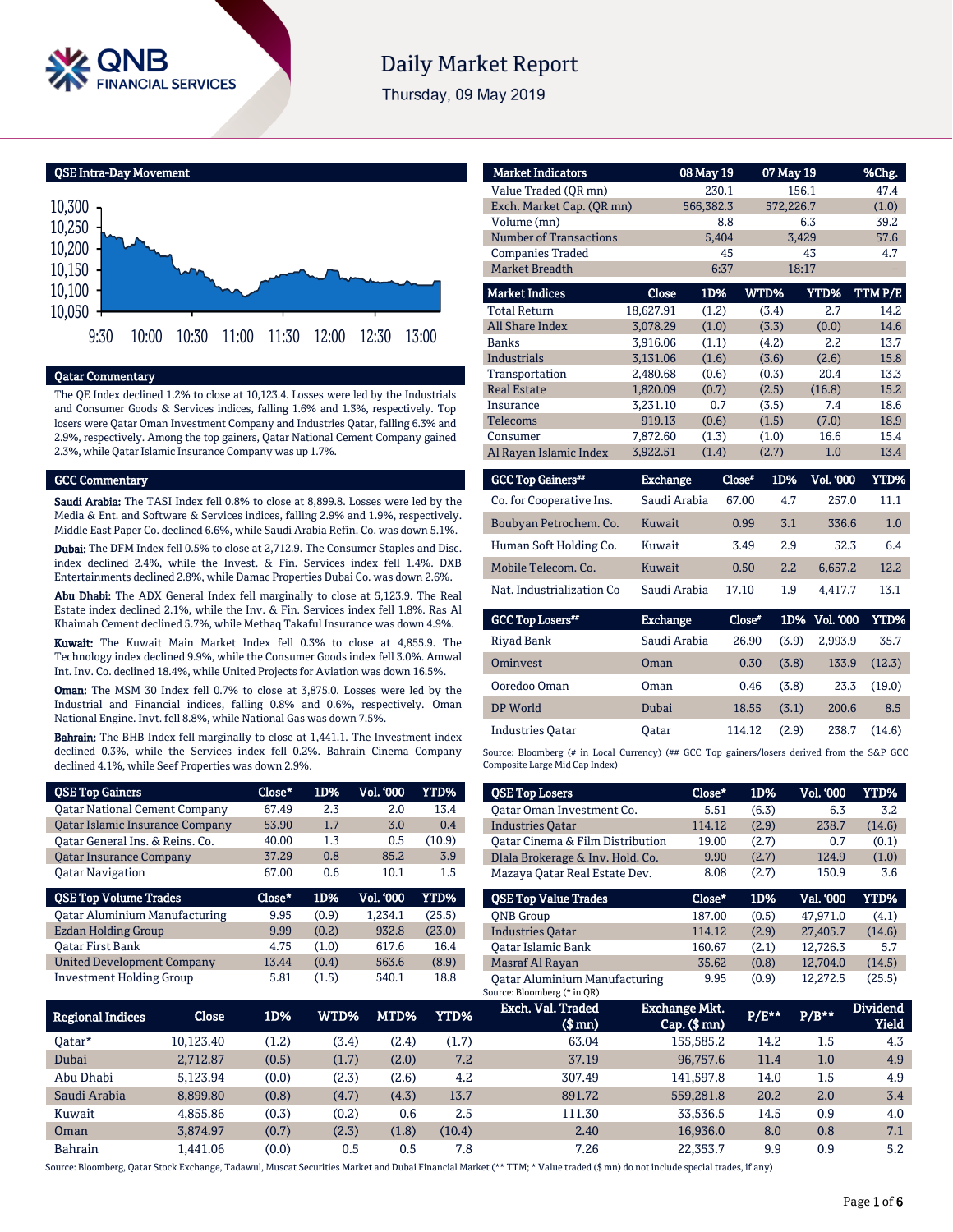

# **Daily Market Report**

Thursday, 09 May 2019

QSE Intra-Day Movement



### Qatar Commentary

The QE Index declined 1.2% to close at 10,123.4. Losses were led by the Industrials and Consumer Goods & Services indices, falling 1.6% and 1.3%, respectively. Top losers were Qatar Oman Investment Company and Industries Qatar, falling 6.3% and 2.9%, respectively. Among the top gainers, Qatar National Cement Company gained 2.3%, while Qatar Islamic Insurance Company was up 1.7%.

#### GCC Commentary

Saudi Arabia: The TASI Index fell 0.8% to close at 8,899.8. Losses were led by the Media & Ent. and Software & Services indices, falling 2.9% and 1.9%, respectively. Middle East Paper Co. declined 6.6%, while Saudi Arabia Refin. Co. was down 5.1%.

Dubai: The DFM Index fell 0.5% to close at 2,712.9. The Consumer Staples and Disc. index declined 2.4%, while the Invest. & Fin. Services index fell 1.4%. DXB Entertainments declined 2.8%, while Damac Properties Dubai Co. was down 2.6%.

Abu Dhabi: The ADX General Index fell marginally to close at 5,123.9. The Real Estate index declined 2.1%, while the Inv. & Fin. Services index fell 1.8%. Ras Al Khaimah Cement declined 5.7%, while Methaq Takaful Insurance was down 4.9%.

Kuwait: The Kuwait Main Market Index fell 0.3% to close at 4,855.9. The Technology index declined 9.9%, while the Consumer Goods index fell 3.0%. Amwal Int. Inv. Co. declined 18.4%, while United Projects for Aviation was down 16.5%.

Oman: The MSM 30 Index fell 0.7% to close at 3,875.0. Losses were led by the Industrial and Financial indices, falling 0.8% and 0.6%, respectively. Oman National Engine. Invt. fell 8.8%, while National Gas was down 7.5%.

Bahrain: The BHB Index fell marginally to close at 1,441.1. The Investment index declined 0.3%, while the Services index fell 0.2%. Bahrain Cinema Company declined 4.1%, while Seef Properties was down 2.9%.

| <b>QSE Top Gainers</b>                 | Close* | 1D%   | Vol. 000         | <b>YTD%</b> |
|----------------------------------------|--------|-------|------------------|-------------|
| <b>Qatar National Cement Company</b>   | 67.49  | 2.3   | 2.0              | 13.4        |
| <b>Qatar Islamic Insurance Company</b> | 53.90  | 1.7   | 3.0              | 0.4         |
| Oatar General Ins. & Reins. Co.        | 40.00  | 1.3   | 0.5              | (10.9)      |
| <b>Oatar Insurance Company</b>         | 37.29  | 0.8   | 85.2             | 3.9         |
| <b>Oatar Navigation</b>                | 67.00  | 0.6   | 10.1             | 1.5         |
|                                        |        |       |                  |             |
| <b>QSE Top Volume Trades</b>           | Close* | 1D%   | <b>Vol. '000</b> | YTD%        |
| <b>Qatar Aluminium Manufacturing</b>   | 9.95   | (0.9) | 1.234.1          | (25.5)      |
| <b>Ezdan Holding Group</b>             | 9.99   | (0.2) | 932.8            | (23.0)      |
| <b>Oatar First Bank</b>                | 4.75   | (1.0) | 617.6            | 16.4        |
| <b>United Development Company</b>      | 13.44  | (0.4) | 563.6            | (8.9)       |

| <b>Market Indicators</b>      |           | 08 May 19 | 07 May 19 |           | %Chg.   |
|-------------------------------|-----------|-----------|-----------|-----------|---------|
| Value Traded (OR mn)          |           | 230.1     |           | 156.1     | 47.4    |
| Exch. Market Cap. (QR mn)     |           | 566,382.3 |           | 572,226.7 | (1.0)   |
| Volume (mn)                   | 8.8       |           | 6.3       | 39.2      |         |
| <b>Number of Transactions</b> |           | 5,404     |           | 3,429     | 57.6    |
| <b>Companies Traded</b>       |           | 45        |           | 43        | 4.7     |
| <b>Market Breadth</b>         |           | 6:37      |           | 18:17     |         |
| <b>Market Indices</b>         | Close     | 1D%       | WTD%      | YTD%      | TTM P/E |
| <b>Total Return</b>           | 18,627.91 | (1.2)     | (3.4)     | 2.7       | 14.2    |
| <b>All Share Index</b>        | 3.078.29  | (1.0)     | (3.3)     | (0.0)     | 14.6    |
| <b>Banks</b>                  | 3,916.06  | (1.1)     | (4.2)     | 2.2       | 13.7    |
| Industrials                   | 3,131.06  | (1.6)     | (3.6)     | (2.6)     | 15.8    |
| Transportation                | 2,480.68  | (0.6)     | (0.3)     | 20.4      | 13.3    |
| <b>Real Estate</b>            | 1,820.09  | (0.7)     | (2.5)     | (16.8)    | 15.2    |
| Insurance                     | 3,231.10  | 0.7       | (3.5)     | 7.4       | 18.6    |
| <b>Telecoms</b>               | 919.13    | (0.6)     | (1.5)     | (7.0)     | 18.9    |
| Consumer                      | 7,872.60  | (1.3)     | (1.0)     | 16.6      | 15.4    |
| Al Rayan Islamic Index        | 3,922.51  | (1.4)     | (2.7)     | 1.0       | 13.4    |
|                               |           |           |           |           |         |

| <b>GCC Top Gainers**</b>   | <b>Exchange</b> | Close* | 1D% | Vol. '000 | YTD% |
|----------------------------|-----------------|--------|-----|-----------|------|
| Co. for Cooperative Ins.   | Saudi Arabia    | 67.00  | 4.7 | 257.0     | 11.1 |
| Boubyan Petrochem. Co.     | Kuwait          | 0.99   | 3.1 | 336.6     | 1.0  |
| Human Soft Holding Co.     | Kuwait          | 3.49   | 2.9 | 52.3      | 6.4  |
| Mobile Telecom. Co.        | Kuwait          | 0.50   | 2.2 | 6.657.2   | 12.2 |
| Nat. Industrialization Co. | Saudi Arabia    | 17.10  | 1.9 | 4.417.7   | 13.1 |

| <b>GCC Top Losers**</b> | <b>Exchange</b> | Close* |       | 1D% Vol. 000 | YTD%   |
|-------------------------|-----------------|--------|-------|--------------|--------|
| Rivad Bank              | Saudi Arabia    | 26.90  | (3.9) | 2.993.9      | 35.7   |
| Ominyest                | Oman            | 0.30   | (3.8) | 133.9        | (12.3) |
| Ooredoo Oman            | Oman            | 0.46   | (3.8) | 23.3         | (19.0) |
| DP World                | Dubai           | 18.55  | (3.1) | 200.6        | 8.5    |
| <b>Industries Oatar</b> | Oatar           | 114.12 | (2.9) | 238.7        | (14.6) |

Source: Bloomberg (# in Local Currency) (## GCC Top gainers/losers derived from the S&P GCC Composite Large Mid Cap Index)

| <b>QSE Top Losers</b>            | Close* | 1D%   | Vol. '000 | YTD%   |
|----------------------------------|--------|-------|-----------|--------|
| Oatar Oman Investment Co.        | 5.51   | (6.3) | 6.3       | 3.2    |
| <b>Industries Oatar</b>          | 114.12 | (2.9) | 238.7     | (14.6) |
| Oatar Cinema & Film Distribution | 19.00  | (2.7) | 0.7       | (0.1)  |
| Dlala Brokerage & Inv. Hold. Co. | 9.90   | (2.7) | 124.9     | (1.0)  |
| Mazaya Oatar Real Estate Dev.    | 8.08   | (2.7) | 150.9     | 3.6    |
|                                  |        |       |           |        |
| <b>QSE Top Value Trades</b>      | Close* | 1D%   | Val. '000 | YTD%   |
| <b>ONB</b> Group                 | 187.00 | (0.5) | 47.971.0  | (4.1)  |
| <b>Industries Oatar</b>          | 114.12 | (2.9) | 27,405.7  | (14.6) |
| <b>Oatar Islamic Bank</b>        | 160.67 | (2.1) | 12.726.3  | 5.7    |
| Masraf Al Rayan                  | 35.62  | (0.8) | 12,704.0  | (14.5) |

| Regional Indices | Close     | 1D%   | WTD%  | MTD%  | YTD%   | Exch. Val. Traded<br>$$$ mn $)$ | Exchange Mkt.<br>$Cap.$ ( $$mn)$ | $P/E***$ | $P/B***$ | <b>Dividend</b><br>Yield |
|------------------|-----------|-------|-------|-------|--------|---------------------------------|----------------------------------|----------|----------|--------------------------|
| Oatar*           | 10.123.40 | (1.2) | (3.4) | (2.4) | (1.7)  | 63.04                           | 155.585.2                        | 14.2     | 1.5      | 4.3                      |
| Dubai            | 2,712.87  | (0.5) | (1.7) | (2.0) | 7.2    | 37.19                           | 96,757.6                         | 11.4     | 1.0      | 4.9                      |
| Abu Dhabi        | 5.123.94  | (0.0) | (2.3) | (2.6) | 4.2    | 307.49                          | 141.597.8                        | 14.0     | 1.5      | 4.9                      |
| Saudi Arabia     | 8.899.80  | (0.8) | (4.7) | (4.3) | 13.7   | 891.72                          | 559,281.8                        | 20.2     | 2.0      | 3.4                      |
| Kuwait           | 4.855.86  | (0.3) | (0.2) | 0.6   | 2.5    | 111.30                          | 33,536.5                         | 14.5     | 0.9      | 4.0                      |
| Oman             | 3.874.97  | (0.7) | (2.3) | (1.8) | (10.4) | 2.40                            | 16.936.0                         | 8.0      | 0.8      | 7.1                      |
| Bahrain          | .441.06   | (0.0) | 0.5   | 0.5   | 7.8    | 7.26                            | 22.353.7                         | 9.9      | 0.9      | 5.2                      |

Source: Bloomberg, Qatar Stock Exchange, Tadawul, Muscat Securities Market and Dubai Financial Market (\*\* TTM; \* Value traded (\$ mn) do not include special trades, if any)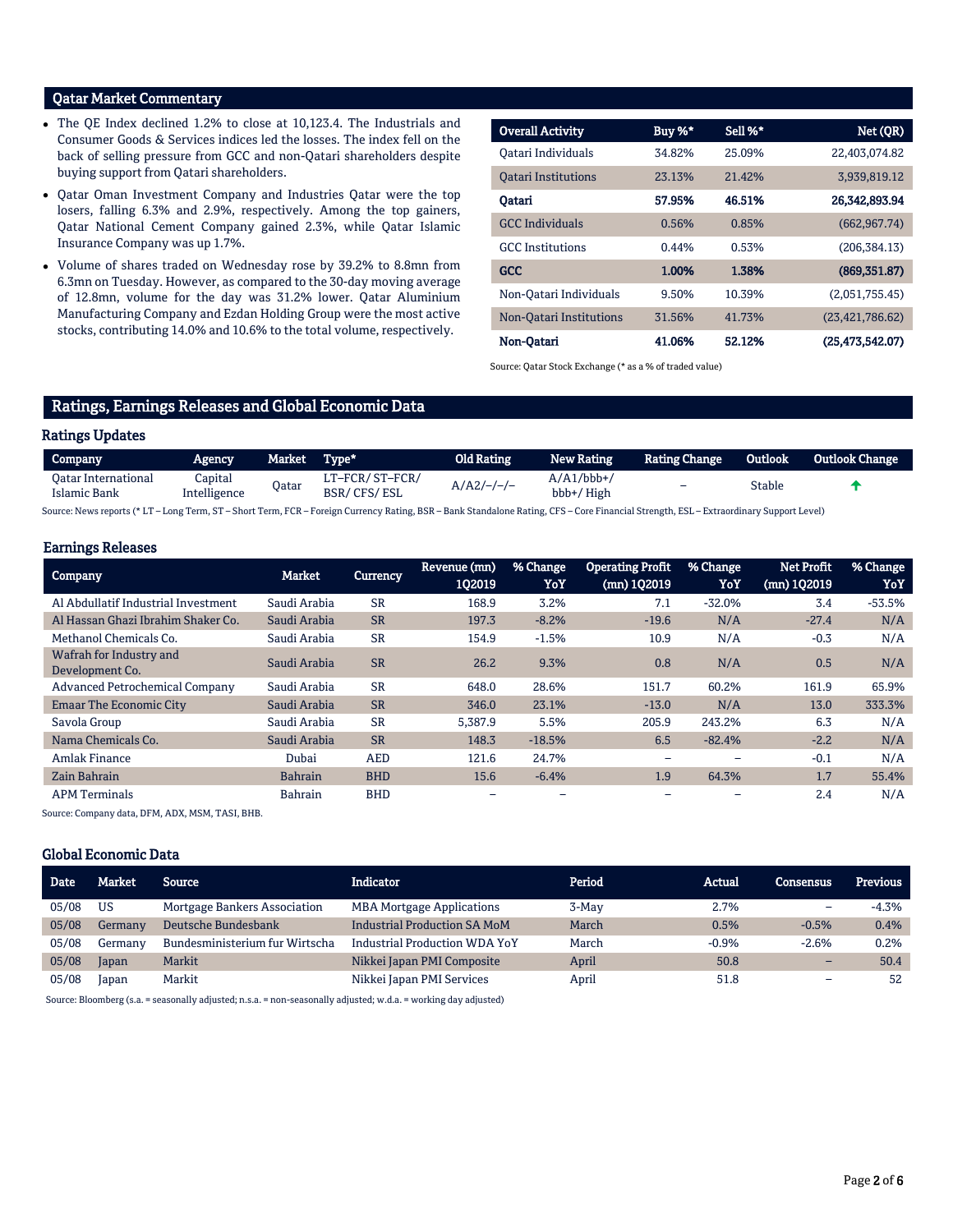## Qatar Market Commentary

- The QE Index declined 1.2% to close at 10,123.4. The Industrials and Consumer Goods & Services indices led the losses. The index fell on the back of selling pressure from GCC and non-Qatari shareholders despite buying support from Qatari shareholders.
- Qatar Oman Investment Company and Industries Qatar were the top losers, falling 6.3% and 2.9%, respectively. Among the top gainers, Qatar National Cement Company gained 2.3%, while Qatar Islamic Insurance Company was up 1.7%.
- Volume of shares traded on Wednesday rose by 39.2% to 8.8mn from 6.3mn on Tuesday. However, as compared to the 30-day moving average of 12.8mn, volume for the day was 31.2% lower. Qatar Aluminium Manufacturing Company and Ezdan Holding Group were the most active stocks, contributing 14.0% and 10.6% to the total volume, respectively.

| <b>Overall Activity</b>    | <b>Buy %*</b> | Sell %* | Net (OR)           |
|----------------------------|---------------|---------|--------------------|
| Oatari Individuals         | 34.82%        | 25.09%  | 22,403,074.82      |
| <b>Oatari Institutions</b> | 23.13%        | 21.42%  | 3,939,819.12       |
| Oatari                     | 57.95%        | 46.51%  | 26,342,893.94      |
| <b>GCC</b> Individuals     | 0.56%         | 0.85%   | (662, 967, 74)     |
| <b>GCC</b> Institutions    | 0.44%         | 0.53%   | (206, 384.13)      |
| <b>GCC</b>                 | 1.00%         | 1.38%   | (869, 351, 87)     |
| Non-Qatari Individuals     | 9.50%         | 10.39%  | (2,051,755.45)     |
| Non-Oatari Institutions    | 31.56%        | 41.73%  | (23, 421, 786.62)  |
| Non-Oatari                 | 41.06%        | 52.12%  | (25, 473, 542, 07) |

Source: Qatar Stock Exchange (\* as a % of traded value)

# Ratings, Earnings Releases and Global Economic Data

#### Ratings Updates

| Company                             | <b>Agency</b>           | Market | Type*                         | Old Rating   | <b>New Rating</b>          | <b>Rating Change</b> | Outlook | <b>Outlook Change</b> |
|-------------------------------------|-------------------------|--------|-------------------------------|--------------|----------------------------|----------------------|---------|-----------------------|
| Oatar International<br>Islamic Bank | Capital<br>Intelligence | Qatar  | LT-FCR/ST-FCR/<br>BSR/CFS/ESL | $A/A2/-/-/-$ | $A/A1/bbb+/-$<br>bbb+/High | -                    | Stable  |                       |

Source: News reports (\* LT – Long Term, ST – Short Term, FCR – Foreign Currency Rating, BSR – Bank Standalone Rating, CFS – Core Financial Strength, ESL – Extraordinary Support Level)

### Earnings Releases

| Company                                    | <b>Market</b>  | <b>Currency</b> | Revenue (mn)<br>102019 | % Change<br>YoY | <b>Operating Profit</b><br>(mn) 102019 | % Change<br>YoY | <b>Net Profit</b><br>(mn) 102019 | % Change<br>YoY |
|--------------------------------------------|----------------|-----------------|------------------------|-----------------|----------------------------------------|-----------------|----------------------------------|-----------------|
|                                            |                |                 |                        |                 |                                        |                 |                                  |                 |
| Al Abdullatif Industrial Investment        | Saudi Arabia   | <b>SR</b>       | 168.9                  | 3.2%            | 7.1                                    | $-32.0%$        | 3.4                              | $-53.5%$        |
| Al Hassan Ghazi Ibrahim Shaker Co.         | Saudi Arabia   | <b>SR</b>       | 197.3                  | $-8.2%$         | $-19.6$                                | N/A             | $-27.4$                          | N/A             |
| Methanol Chemicals Co.                     | Saudi Arabia   | <b>SR</b>       | 154.9                  | $-1.5%$         | 10.9                                   | N/A             | $-0.3$                           | N/A             |
| Wafrah for Industry and<br>Development Co. | Saudi Arabia   | <b>SR</b>       | 26.2                   | 9.3%            | 0.8                                    | N/A             | 0.5                              | N/A             |
| <b>Advanced Petrochemical Company</b>      | Saudi Arabia   | <b>SR</b>       | 648.0                  | 28.6%           | 151.7                                  | 60.2%           | 161.9                            | 65.9%           |
| <b>Emaar The Economic City</b>             | Saudi Arabia   | <b>SR</b>       | 346.0                  | 23.1%           | $-13.0$                                | N/A             | 13.0                             | 333.3%          |
| Savola Group                               | Saudi Arabia   | <b>SR</b>       | 5.387.9                | 5.5%            | 205.9                                  | 243.2%          | 6.3                              | N/A             |
| Nama Chemicals Co.                         | Saudi Arabia   | <b>SR</b>       | 148.3                  | $-18.5%$        | 6.5                                    | $-82.4%$        | $-2.2$                           | N/A             |
| Amlak Finance                              | Dubai          | <b>AED</b>      | 121.6                  | 24.7%           |                                        |                 | $-0.1$                           | N/A             |
| Zain Bahrain                               | <b>Bahrain</b> | <b>BHD</b>      | 15.6                   | $-6.4%$         | 1.9                                    | 64.3%           | 1.7                              | 55.4%           |
| <b>APM Terminals</b>                       | <b>Bahrain</b> | <b>BHD</b>      |                        |                 |                                        |                 | 2.4                              | N/A             |

Source: Company data, DFM, ADX, MSM, TASI, BHB.

#### Global Economic Data

| <b>Date</b> | Market  | <b>Source</b>                  | <b>Indicator</b>                     | Period | Actual  | <b>Consensus</b>         | <b>Previous</b> |
|-------------|---------|--------------------------------|--------------------------------------|--------|---------|--------------------------|-----------------|
| 05/08       | US      | Mortgage Bankers Association   | <b>MBA Mortgage Applications</b>     | 3-May  | 2.7%    | -                        | $-4.3%$         |
| 05/08       | Germany | Deutsche Bundesbank            | <b>Industrial Production SA MoM</b>  | March  | 0.5%    | $-0.5%$                  | 0.4%            |
| 05/08       | Germany | Bundesministerium fur Wirtscha | <b>Industrial Production WDA YoY</b> | March  | $-0.9%$ | $-2.6%$                  | 0.2%            |
| 05/08       | Japan   | Markit                         | Nikkei Japan PMI Composite           | April  | 50.8    | -                        | 50.4            |
| 05/08       | Japan   | Markit                         | Nikkei Japan PMI Services            | April  | 51.8    | $\overline{\phantom{0}}$ | 52              |

Source: Bloomberg (s.a. = seasonally adjusted; n.s.a. = non-seasonally adjusted; w.d.a. = working day adjusted)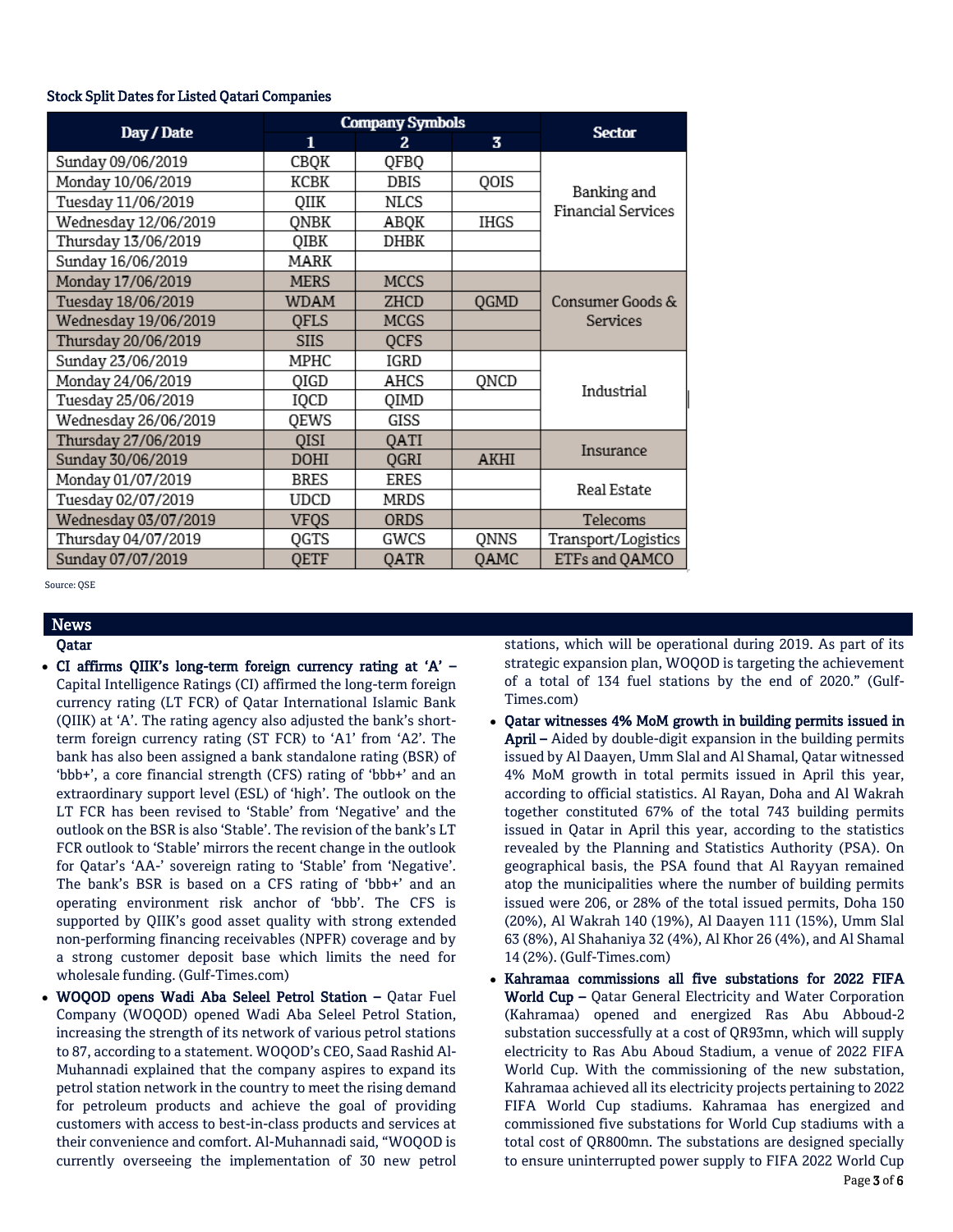#### Stock Split Dates for Listed Qatari Companies

|                      |              | <b>Company Symbols</b> |      |                                          |  |
|----------------------|--------------|------------------------|------|------------------------------------------|--|
| Day / Date           | $\mathbf{1}$ | 2.                     | 3    | <b>Sector</b>                            |  |
| Sunday 09/06/2019    | CBQK         | QFBQ                   |      |                                          |  |
| Monday 10/06/2019    | KCBK         | DBIS                   | QOIS |                                          |  |
| Tuesday 11/06/2019   | QIIK         | NLCS                   |      | Banking and<br><b>Financial Services</b> |  |
| Wednesday 12/06/2019 | QNBK         | ABQK                   | IHGS |                                          |  |
| Thursday 13/06/2019  | QIBK         | DHBK                   |      |                                          |  |
| Sunday 16/06/2019    | MARK         |                        |      |                                          |  |
| Monday 17/06/2019    | <b>MERS</b>  | <b>MCCS</b>            |      |                                          |  |
| Tuesday 18/06/2019   | <b>WDAM</b>  | ZHCD                   | QGMD | Consumer Goods &                         |  |
| Wednesday 19/06/2019 | OFLS         | <b>MCGS</b>            |      | Services                                 |  |
| Thursday 20/06/2019  | <b>SIIS</b>  | <b>QCFS</b>            |      |                                          |  |
| Sunday 23/06/2019    | MPHC         | IGRD                   |      |                                          |  |
| Monday 24/06/2019    | QIGD         | AHCS                   | QNCD | Industrial                               |  |
| Tuesday 25/06/2019   | IQCD         | QIMD                   |      |                                          |  |
| Wednesday 26/06/2019 | QEWS         | GISS                   |      |                                          |  |
| Thursday 27/06/2019  | <b>QISI</b>  | QATI                   |      | Insurance                                |  |
| Sunday 30/06/2019    | <b>DOHI</b>  | QGRI                   | AKHI |                                          |  |
| Monday 01/07/2019    | <b>BRES</b>  | <b>ERES</b>            |      | Real Estate                              |  |
| Tuesday 02/07/2019   | <b>UDCD</b>  | <b>MRDS</b>            |      |                                          |  |
| Wednesday 03/07/2019 | <b>VFQS</b>  | <b>ORDS</b>            |      | Telecoms                                 |  |
| Thursday 04/07/2019  | QGTS         | GWCS                   | QNNS | Transport/Logistics                      |  |
| Sunday 07/07/2019    | QETF         | QATR                   | QAMC | ETFs and QAMCO                           |  |

Source: QSE

# News

- Qatar
- CI affirms QIIK's long-term foreign currency rating at 'A' Capital Intelligence Ratings (CI) affirmed the long-term foreign currency rating (LT FCR) of Qatar International Islamic Bank (QIIK) at 'A'. The rating agency also adjusted the bank's shortterm foreign currency rating (ST FCR) to 'A1' from 'A2'. The bank has also been assigned a bank standalone rating (BSR) of 'bbb+', a core financial strength (CFS) rating of 'bbb+' and an extraordinary support level (ESL) of 'high'. The outlook on the LT FCR has been revised to 'Stable' from 'Negative' and the outlook on the BSR is also 'Stable'. The revision of the bank's LT FCR outlook to 'Stable' mirrors the recent change in the outlook for Qatar's 'AA-' sovereign rating to 'Stable' from 'Negative'. The bank's BSR is based on a CFS rating of 'bbb+' and an operating environment risk anchor of 'bbb'. The CFS is supported by QIIK's good asset quality with strong extended non-performing financing receivables (NPFR) coverage and by a strong customer deposit base which limits the need for wholesale funding. (Gulf-Times.com)
- WOQOD opens Wadi Aba Seleel Petrol Station Qatar Fuel Company (WOQOD) opened Wadi Aba Seleel Petrol Station, increasing the strength of its network of various petrol stations to 87, according to a statement. WOQOD's CEO, Saad Rashid Al-Muhannadi explained that the company aspires to expand its petrol station network in the country to meet the rising demand for petroleum products and achieve the goal of providing customers with access to best-in-class products and services at their convenience and comfort. Al-Muhannadi said, "WOQOD is currently overseeing the implementation of 30 new petrol

stations, which will be operational during 2019. As part of its strategic expansion plan, WOQOD is targeting the achievement of a total of 134 fuel stations by the end of 2020." (Gulf-Times.com)

- Qatar witnesses 4% MoM growth in building permits issued in April – Aided by double-digit expansion in the building permits issued by Al Daayen, Umm Slal and Al Shamal, Qatar witnessed 4% MoM growth in total permits issued in April this year, according to official statistics. Al Rayan, Doha and Al Wakrah together constituted 67% of the total 743 building permits issued in Qatar in April this year, according to the statistics revealed by the Planning and Statistics Authority (PSA). On geographical basis, the PSA found that Al Rayyan remained atop the municipalities where the number of building permits issued were 206, or 28% of the total issued permits, Doha 150 (20%), Al Wakrah 140 (19%), Al Daayen 111 (15%), Umm Slal 63 (8%), Al Shahaniya 32 (4%), Al Khor 26 (4%), and Al Shamal 14 (2%). (Gulf-Times.com)
- Kahramaa commissions all five substations for 2022 FIFA World Cup – Qatar General Electricity and Water Corporation (Kahramaa) opened and energized Ras Abu Abboud-2 substation successfully at a cost of QR93mn, which will supply electricity to Ras Abu Aboud Stadium, a venue of 2022 FIFA World Cup. With the commissioning of the new substation, Kahramaa achieved all its electricity projects pertaining to 2022 FIFA World Cup stadiums. Kahramaa has energized and commissioned five substations for World Cup stadiums with a total cost of QR800mn. The substations are designed specially to ensure uninterrupted power supply to FIFA 2022 World Cup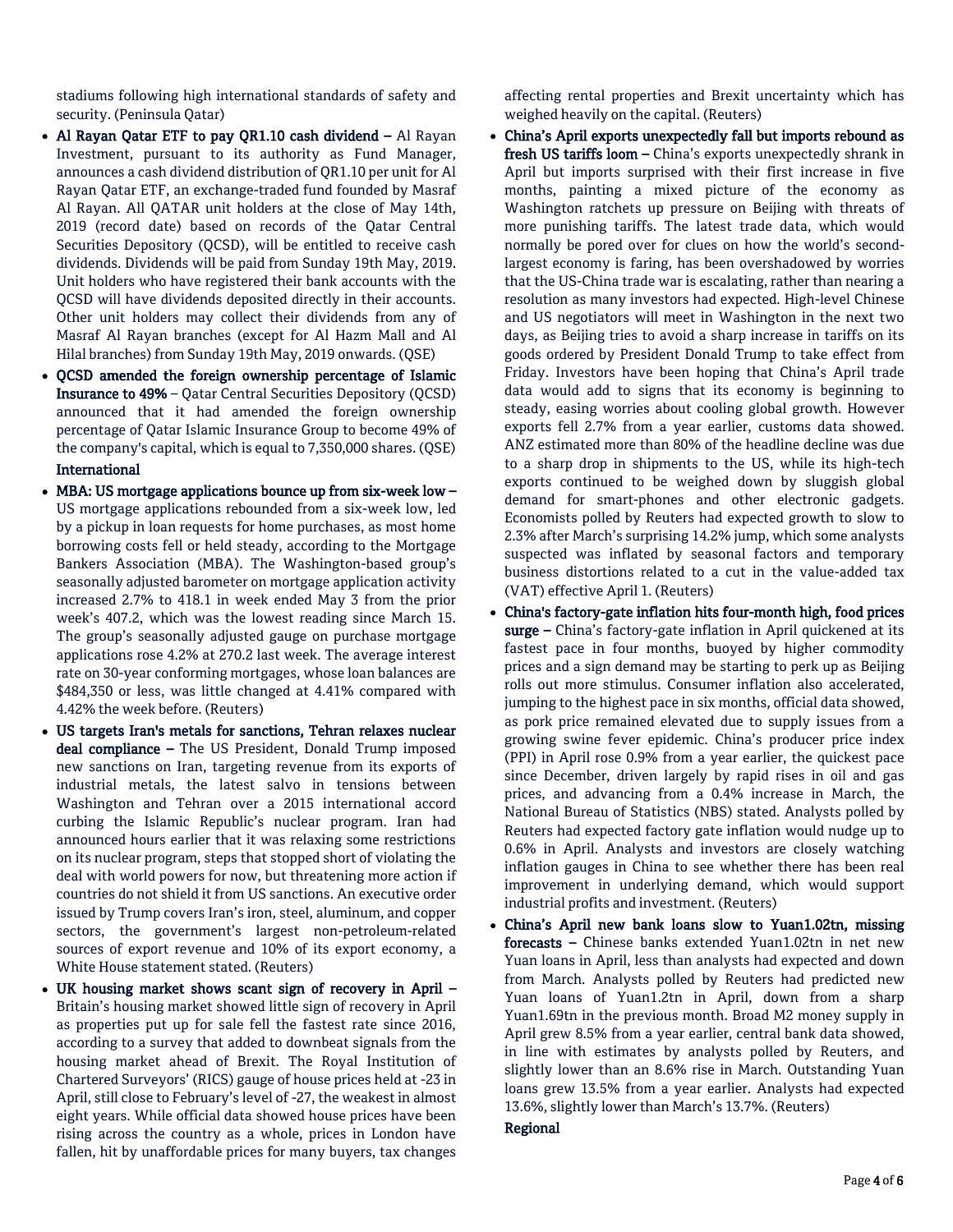stadiums following high international standards of safety and security. (Peninsula Qatar)

- Al Rayan Qatar ETF to pay QR1.10 cash dividend Al Rayan Investment, pursuant to its authority as Fund Manager, announces a cash dividend distribution of QR1.10 per unit for Al Rayan Qatar ETF, an exchange-traded fund founded by Masraf Al Rayan. All QATAR unit holders at the close of May 14th, 2019 (record date) based on records of the Qatar Central Securities Depository (QCSD), will be entitled to receive cash dividends. Dividends will be paid from Sunday 19th May, 2019. Unit holders who have registered their bank accounts with the QCSD will have dividends deposited directly in their accounts. Other unit holders may collect their dividends from any of Masraf Al Rayan branches (except for Al Hazm Mall and Al Hilal branches) from Sunday 19th May, 2019 onwards. (QSE)
- QCSD amended the foreign ownership percentage of Islamic Insurance to 49% – Qatar Central Securities Depository (QCSD) announced that it had amended the foreign ownership percentage of Qatar Islamic Insurance Group to become 49% of the company's capital, which is equal to 7,350,000 shares. (QSE)

# International

- MBA: US mortgage applications bounce up from six-week low US mortgage applications rebounded from a six-week low, led by a pickup in loan requests for home purchases, as most home borrowing costs fell or held steady, according to the Mortgage Bankers Association (MBA). The Washington-based group's seasonally adjusted barometer on mortgage application activity increased 2.7% to 418.1 in week ended May 3 from the prior week's 407.2, which was the lowest reading since March 15. The group's seasonally adjusted gauge on purchase mortgage applications rose 4.2% at 270.2 last week. The average interest rate on 30-year conforming mortgages, whose loan balances are \$484,350 or less, was little changed at 4.41% compared with 4.42% the week before. (Reuters)
- US targets Iran's metals for sanctions, Tehran relaxes nuclear deal compliance – The US President, Donald Trump imposed new sanctions on Iran, targeting revenue from its exports of industrial metals, the latest salvo in tensions between Washington and Tehran over a 2015 international accord curbing the Islamic Republic's nuclear program. Iran had announced hours earlier that it was relaxing some restrictions on its nuclear program, steps that stopped short of violating the deal with world powers for now, but threatening more action if countries do not shield it from US sanctions. An executive order issued by Trump covers Iran's iron, steel, aluminum, and copper sectors, the government's largest non-petroleum-related sources of export revenue and 10% of its export economy, a White House statement stated. (Reuters)
- UK housing market shows scant sign of recovery in April Britain's housing market showed little sign of recovery in April as properties put up for sale fell the fastest rate since 2016, according to a survey that added to downbeat signals from the housing market ahead of Brexit. The Royal Institution of Chartered Surveyors' (RICS) gauge of house prices held at -23 in April, still close to February's level of -27, the weakest in almost eight years. While official data showed house prices have been rising across the country as a whole, prices in London have fallen, hit by unaffordable prices for many buyers, tax changes

affecting rental properties and Brexit uncertainty which has weighed heavily on the capital. (Reuters)

- China's April exports unexpectedly fall but imports rebound as fresh US tariffs loom - China's exports unexpectedly shrank in April but imports surprised with their first increase in five months, painting a mixed picture of the economy as Washington ratchets up pressure on Beijing with threats of more punishing tariffs. The latest trade data, which would normally be pored over for clues on how the world's secondlargest economy is faring, has been overshadowed by worries that the US-China trade war is escalating, rather than nearing a resolution as many investors had expected. High-level Chinese and US negotiators will meet in Washington in the next two days, as Beijing tries to avoid a sharp increase in tariffs on its goods ordered by President Donald Trump to take effect from Friday. Investors have been hoping that China's April trade data would add to signs that its economy is beginning to steady, easing worries about cooling global growth. However exports fell 2.7% from a year earlier, customs data showed. ANZ estimated more than 80% of the headline decline was due to a sharp drop in shipments to the US, while its high-tech exports continued to be weighed down by sluggish global demand for smart-phones and other electronic gadgets. Economists polled by Reuters had expected growth to slow to 2.3% after March's surprising 14.2% jump, which some analysts suspected was inflated by seasonal factors and temporary business distortions related to a cut in the value-added tax (VAT) effective April 1. (Reuters)
- China's factory-gate inflation hits four-month high, food prices surge - China's factory-gate inflation in April quickened at its fastest pace in four months, buoyed by higher commodity prices and a sign demand may be starting to perk up as Beijing rolls out more stimulus. Consumer inflation also accelerated, jumping to the highest pace in six months, official data showed, as pork price remained elevated due to supply issues from a growing swine fever epidemic. China's producer price index (PPI) in April rose 0.9% from a year earlier, the quickest pace since December, driven largely by rapid rises in oil and gas prices, and advancing from a 0.4% increase in March, the National Bureau of Statistics (NBS) stated. Analysts polled by Reuters had expected factory gate inflation would nudge up to 0.6% in April. Analysts and investors are closely watching inflation gauges in China to see whether there has been real improvement in underlying demand, which would support industrial profits and investment. (Reuters)
- China's April new bank loans slow to Yuan1.02tn, missing forecasts – Chinese banks extended Yuan1.02tn in net new Yuan loans in April, less than analysts had expected and down from March. Analysts polled by Reuters had predicted new Yuan loans of Yuan1.2tn in April, down from a sharp Yuan1.69tn in the previous month. Broad M2 money supply in April grew 8.5% from a year earlier, central bank data showed, in line with estimates by analysts polled by Reuters, and slightly lower than an 8.6% rise in March. Outstanding Yuan loans grew 13.5% from a year earlier. Analysts had expected 13.6%, slightly lower than March's 13.7%. (Reuters)

## Regional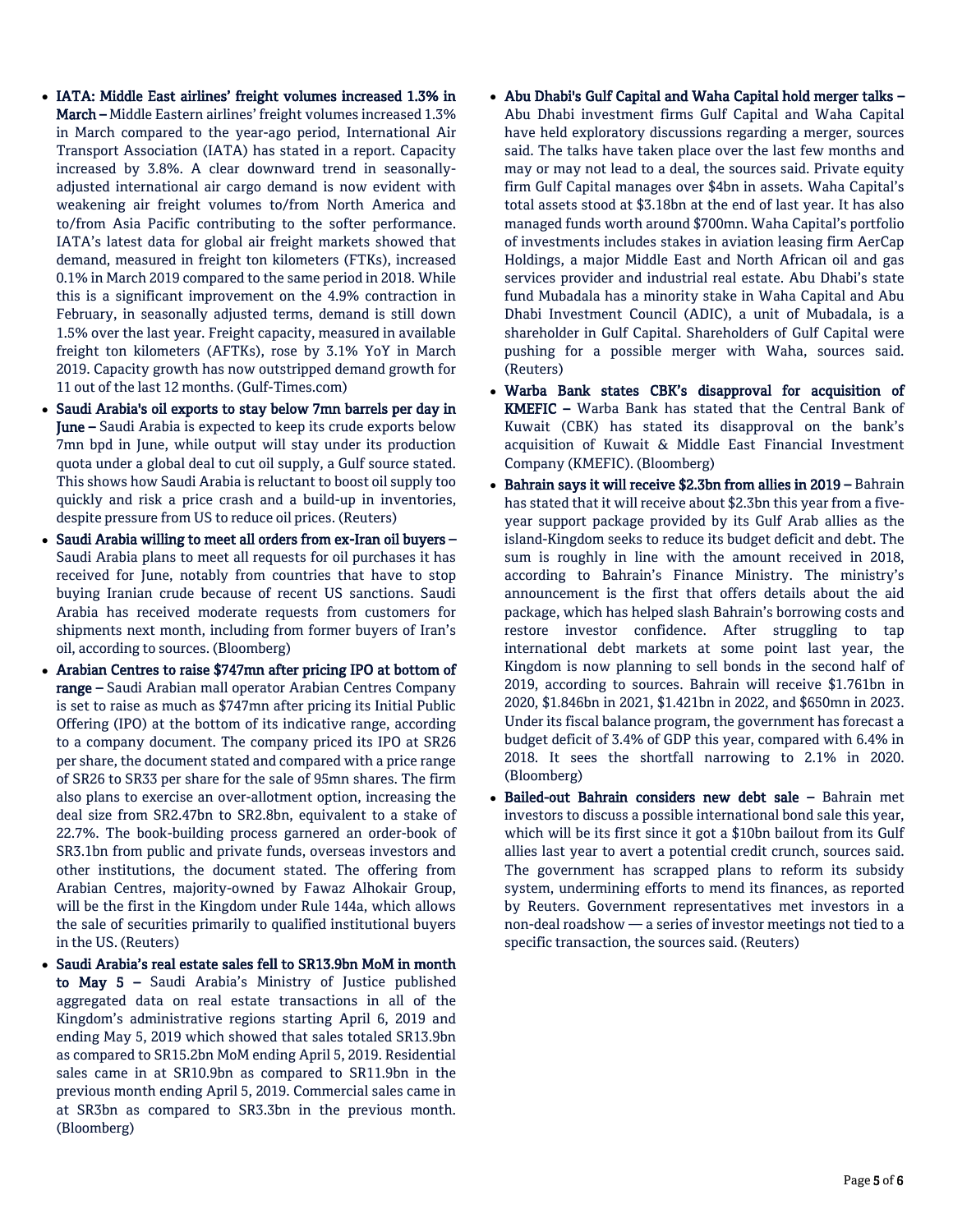- IATA: Middle East airlines' freight volumes increased 1.3% in March – Middle Eastern airlines' freight volumes increased 1.3% in March compared to the year-ago period, International Air Transport Association (IATA) has stated in a report. Capacity increased by 3.8%. A clear downward trend in seasonallyadjusted international air cargo demand is now evident with weakening air freight volumes to/from North America and to/from Asia Pacific contributing to the softer performance. IATA's latest data for global air freight markets showed that demand, measured in freight ton kilometers (FTKs), increased 0.1% in March 2019 compared to the same period in 2018. While this is a significant improvement on the 4.9% contraction in February, in seasonally adjusted terms, demand is still down 1.5% over the last year. Freight capacity, measured in available freight ton kilometers (AFTKs), rose by 3.1% YoY in March 2019. Capacity growth has now outstripped demand growth for 11 out of the last 12 months. (Gulf-Times.com)
- Saudi Arabia's oil exports to stay below 7mn barrels per day in June – Saudi Arabia is expected to keep its crude exports below 7mn bpd in June, while output will stay under its production quota under a global deal to cut oil supply, a Gulf source stated. This shows how Saudi Arabia is reluctant to boost oil supply too quickly and risk a price crash and a build-up in inventories, despite pressure from US to reduce oil prices. (Reuters)
- Saudi Arabia willing to meet all orders from ex-Iran oil buyers Saudi Arabia plans to meet all requests for oil purchases it has received for June, notably from countries that have to stop buying Iranian crude because of recent US sanctions. Saudi Arabia has received moderate requests from customers for shipments next month, including from former buyers of Iran's oil, according to sources. (Bloomberg)
- Arabian Centres to raise \$747mn after pricing IPO at bottom of range – Saudi Arabian mall operator Arabian Centres Company is set to raise as much as \$747mn after pricing its Initial Public Offering (IPO) at the bottom of its indicative range, according to a company document. The company priced its IPO at SR26 per share, the document stated and compared with a price range of SR26 to SR33 per share for the sale of 95mn shares. The firm also plans to exercise an over-allotment option, increasing the deal size from SR2.47bn to SR2.8bn, equivalent to a stake of 22.7%. The book-building process garnered an order-book of SR3.1bn from public and private funds, overseas investors and other institutions, the document stated. The offering from Arabian Centres, majority-owned by Fawaz Alhokair Group, will be the first in the Kingdom under Rule 144a, which allows the sale of securities primarily to qualified institutional buyers in the US. (Reuters)
- Saudi Arabia's real estate sales fell to SR13.9bn MoM in month to May 5 – Saudi Arabia's Ministry of Justice published aggregated data on real estate transactions in all of the Kingdom's administrative regions starting April 6, 2019 and ending May 5, 2019 which showed that sales totaled SR13.9bn as compared to SR15.2bn MoM ending April 5, 2019. Residential sales came in at SR10.9bn as compared to SR11.9bn in the previous month ending April 5, 2019. Commercial sales came in at SR3bn as compared to SR3.3bn in the previous month. (Bloomberg)
- Abu Dhabi's Gulf Capital and Waha Capital hold merger talks Abu Dhabi investment firms Gulf Capital and Waha Capital have held exploratory discussions regarding a merger, sources said. The talks have taken place over the last few months and may or may not lead to a deal, the sources said. Private equity firm Gulf Capital manages over \$4bn in assets. Waha Capital's total assets stood at \$3.18bn at the end of last year. It has also managed funds worth around \$700mn. Waha Capital's portfolio of investments includes stakes in aviation leasing firm AerCap Holdings, a major Middle East and North African oil and gas services provider and industrial real estate. Abu Dhabi's state fund Mubadala has a minority stake in Waha Capital and Abu Dhabi Investment Council (ADIC), a unit of Mubadala, is a shareholder in Gulf Capital. Shareholders of Gulf Capital were pushing for a possible merger with Waha, sources said. (Reuters)
- Warba Bank states CBK's disapproval for acquisition of KMEFIC – Warba Bank has stated that the Central Bank of Kuwait (CBK) has stated its disapproval on the bank's acquisition of Kuwait & Middle East Financial Investment Company (KMEFIC). (Bloomberg)
- Bahrain says it will receive \$2.3bn from allies in 2019 Bahrain has stated that it will receive about \$2.3bn this year from a fiveyear support package provided by its Gulf Arab allies as the island-Kingdom seeks to reduce its budget deficit and debt. The sum is roughly in line with the amount received in 2018, according to Bahrain's Finance Ministry. The ministry's announcement is the first that offers details about the aid package, which has helped slash Bahrain's borrowing costs and restore investor confidence. After struggling to tap international debt markets at some point last year, the Kingdom is now planning to sell bonds in the second half of 2019, according to sources. Bahrain will receive \$1.761bn in 2020, \$1.846bn in 2021, \$1.421bn in 2022, and \$650mn in 2023. Under its fiscal balance program, the government has forecast a budget deficit of 3.4% of GDP this year, compared with 6.4% in 2018. It sees the shortfall narrowing to 2.1% in 2020. (Bloomberg)
- Bailed-out Bahrain considers new debt sale Bahrain met investors to discuss a possible international bond sale this year, which will be its first since it got a \$10bn bailout from its Gulf allies last year to avert a potential credit crunch, sources said. The government has scrapped plans to reform its subsidy system, undermining efforts to mend its finances, as reported by Reuters. Government representatives met investors in a non-deal roadshow — a series of investor meetings not tied to a specific transaction, the sources said. (Reuters)